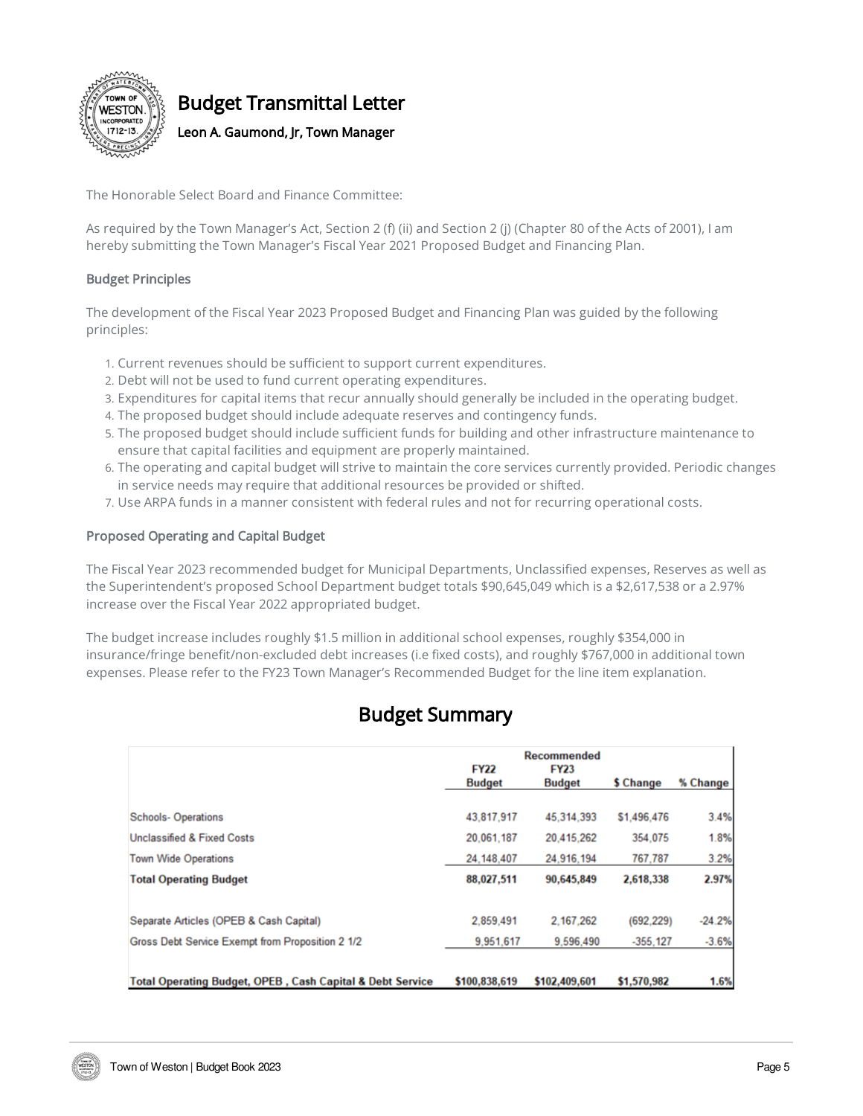

# Budget Transmittal Letter

Leon A. Gaumond, Jr, Town Manager

The Honorable Select Board and Finance Committee:

As required by the Town Manager's Act, Section 2 (f) (ii) and Section 2 (j) (Chapter 80 of the Acts of 2001), I am hereby submitting the Town Manager's Fiscal Year 2021 Proposed Budget and Financing Plan.

#### Budget Principles

The development of the Fiscal Year 2023 Proposed Budget and Financing Plan was guided by the following principles:

- 1. Current revenues should be sufficient to support current expenditures.
- 2. Debt will not be used to fund current operating expenditures.
- 3. Expenditures for capital items that recur annually should generally be included in the operating budget.
- 4. The proposed budget should include adequate reserves and contingency funds.
- 5. The proposed budget should include sufficient funds for building and other infrastructure maintenance to ensure that capital facilities and equipment are properly maintained.
- 6. The operating and capital budget will strive to maintain the core services currently provided. Periodic changes in service needs may require that additional resources be provided or shifted.
- 7. Use ARPA funds in a manner consistent with federal rules and not for recurring operational costs.

#### Proposed Operating and Capital Budget

The Fiscal Year 2023 recommended budget for Municipal Departments, Unclassified expenses, Reserves as well as the Superintendent's proposed School Department budget totals \$90,645,049 which is a \$2,617,538 or a 2.97% increase over the Fiscal Year 2022 appropriated budget.

The budget increase includes roughly \$1.5 million in additional school expenses, roughly \$354,000 in insurance/fringe benefit/non-excluded debt increases (i.e fixed costs), and roughly \$767,000 in additional town expenses. Please refer to the FY23 Town Manager's Recommended Budget for the line item explanation.

# Budget Summary

|                                                                      | <b>Recommended</b>           |                              |             |          |
|----------------------------------------------------------------------|------------------------------|------------------------------|-------------|----------|
|                                                                      | <b>FY22</b><br><b>Budget</b> | <b>FY23</b><br><b>Budget</b> | \$ Change   | % Change |
|                                                                      |                              |                              |             |          |
| <b>Schools-Operations</b>                                            | 43,817,917                   | 45,314,393                   | \$1,496,476 | 3.4%     |
| <b>Unclassified &amp; Fixed Costs</b>                                | 20.061.187                   | 20,415,262                   | 354,075     | 1.8%     |
| <b>Town Wide Operations</b>                                          | 24.148.407                   | 24,916,194                   | 767.787     | 3.2%     |
| <b>Total Operating Budget</b>                                        | 88,027,511                   | 90,645,849                   | 2,618,338   | 2.97%    |
| Separate Articles (OPEB & Cash Capital)                              | 2,859,491                    | 2.167.262                    | (692.229)   | $-24.2%$ |
| Gross Debt Service Exempt from Proposition 2 1/2                     | 9,951,617                    | 9,596,490                    | $-355.127$  | $-3.6%$  |
|                                                                      |                              |                              |             |          |
| <b>Total Operating Budget, OPEB, Cash Capital &amp; Debt Service</b> | \$100,838,619                | \$102,409,601                | \$1,570,982 | 1.6%     |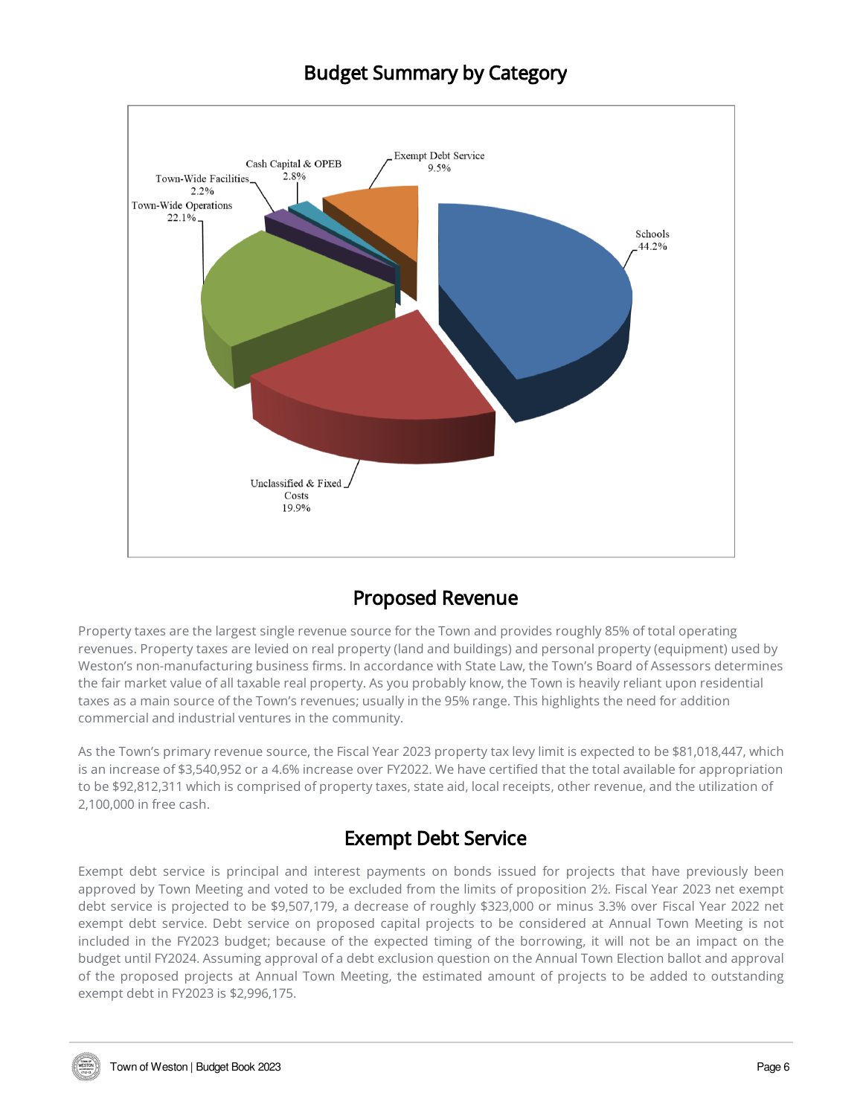## Budget Summary by Category



## Proposed Revenue

Property taxes are the largest single revenue source for the Town and provides roughly 85% of total operating revenues. Property taxes are levied on real property (land and buildings) and personal property (equipment) used by Weston's non-manufacturing business firms. In accordance with State Law, the Town's Board of Assessors determines the fair market value of all taxable real property. As you probably know, the Town is heavily reliant upon residential taxes as a main source of the Town's revenues; usually in the 95% range. This highlights the need for addition commercial and industrial ventures in the community.

As the Town's primary revenue source, the Fiscal Year 2023 property tax levy limit is expected to be \$81,018,447, which is an increase of \$3,540,952 or a 4.6% increase over FY2022. We have certified that the total available for appropriation to be \$92,812,311 which is comprised of property taxes, state aid, local receipts, other revenue, and the utilization of 2,100,000 in free cash.

## Exempt Debt Service

Exempt debt service is principal and interest payments on bonds issued for projects that have previously been approved by Town Meeting and voted to be excluded from the limits of proposition 2½. Fiscal Year 2023 net exempt debt service is projected to be \$9,507,179, a decrease of roughly \$323,000 or minus 3.3% over Fiscal Year 2022 net exempt debt service. Debt service on proposed capital projects to be considered at Annual Town Meeting is not included in the FY2023 budget; because of the expected timing of the borrowing, it will not be an impact on the budget until FY2024. Assuming approval of a debt exclusion question on the Annual Town Election ballot and approval of the proposed projects at Annual Town Meeting, the estimated amount of projects to be added to outstanding exempt debt in FY2023 is \$2,996,175.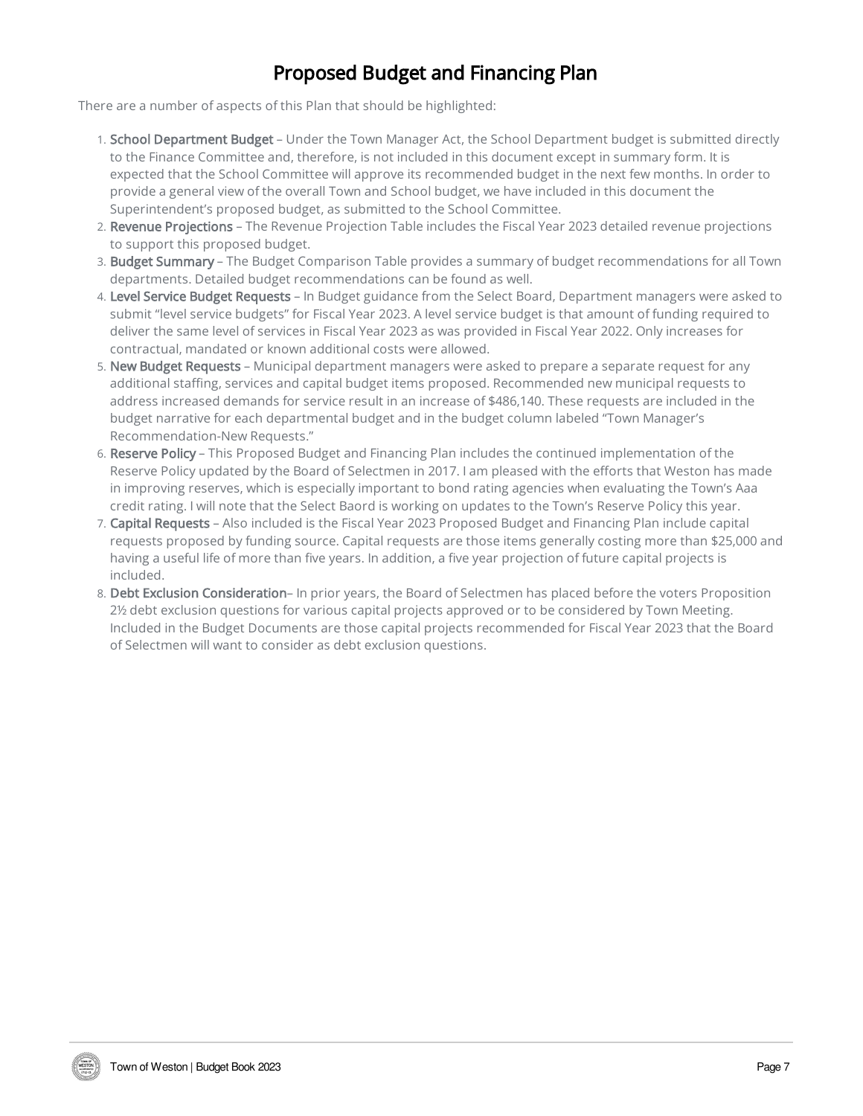# Proposed Budget and Financing Plan

There are a number of aspects of this Plan that should be highlighted:

- 1. School Department Budget Under the Town Manager Act, the School Department budget is submitted directly to the Finance Committee and, therefore, is not included in this document except in summary form. It is expected that the School Committee will approve its recommended budget in the next few months. In order to provide a general view of the overall Town and School budget, we have included in this document the Superintendent's proposed budget, as submitted to the School Committee.
- 2. Revenue Projections The Revenue Projection Table includes the Fiscal Year 2023 detailed revenue projections to support this proposed budget.
- 3. Budget Summary The Budget Comparison Table provides a summary of budget recommendations for all Town departments. Detailed budget recommendations can be found as well.
- 4. Level Service Budget Requests In Budget guidance from the Select Board, Department managers were asked to submit "level service budgets" for Fiscal Year 2023. A level service budget is that amount of funding required to deliver the same level of services in Fiscal Year 2023 as was provided in Fiscal Year 2022. Only increases for contractual, mandated or known additional costs were allowed.
- 5. New Budget Requests Municipal department managers were asked to prepare a separate request for any additional staffing, services and capital budget items proposed. Recommended new municipal requests to address increased demands for service result in an increase of \$486,140. These requests are included in the budget narrative for each departmental budget and in the budget column labeled "Town Manager's Recommendation-New Requests."
- 6. Reserve Policy This Proposed Budget and Financing Plan includes the continued implementation of the Reserve Policy updated by the Board of Selectmen in 2017. I am pleased with the efforts that Weston has made in improving reserves, which is especially important to bond rating agencies when evaluating the Town's Aaa credit rating. I will note that the Select Baord is working on updates to the Town's Reserve Policy this year.
- 7. Capital Requests Also included is the Fiscal Year 2023 Proposed Budget and Financing Plan include capital requests proposed by funding source. Capital requests are those items generally costing more than \$25,000 and having a useful life of more than five years. In addition, a five year projection of future capital projects is included.
- 8. Debt Exclusion Consideration– In prior years, the Board of Selectmen has placed before the voters Proposition 2½ debt exclusion questions for various capital projects approved or to be considered by Town Meeting. Included in the Budget Documents are those capital projects recommended for Fiscal Year 2023 that the Board of Selectmen will want to consider as debt exclusion questions.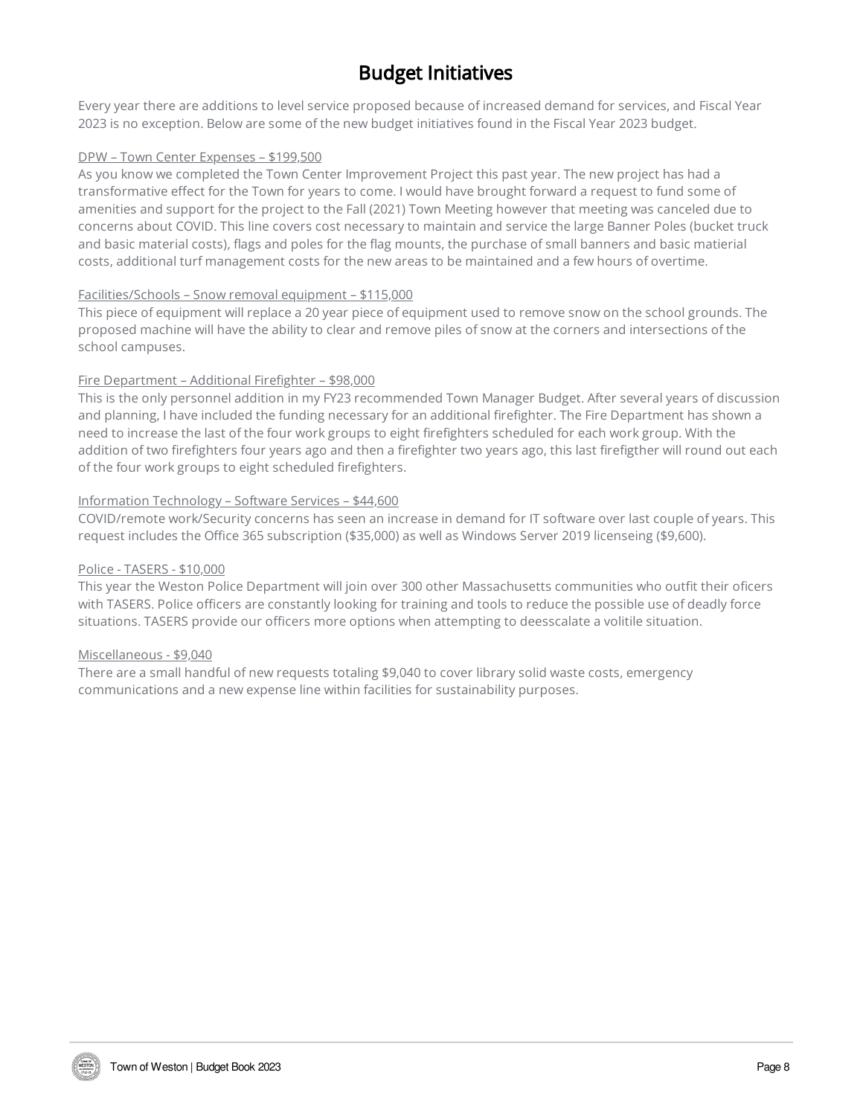# Budget Initiatives

Every year there are additions to level service proposed because of increased demand for services, and Fiscal Year 2023 is no exception. Below are some of the new budget initiatives found in the Fiscal Year 2023 budget.

#### DPW – Town Center Expenses – \$199,500

As you know we completed the Town Center Improvement Project this past year. The new project has had a transformative effect for the Town for years to come. I would have brought forward a request to fund some of amenities and support for the project to the Fall (2021) Town Meeting however that meeting was canceled due to concerns about COVID. This line covers cost necessary to maintain and service the large Banner Poles (bucket truck and basic material costs), flags and poles for the flag mounts, the purchase of small banners and basic matierial costs, additional turf management costs for the new areas to be maintained and a few hours of overtime.

#### Facilities/Schools – Snow removal equipment – \$115,000

This piece of equipment will replace a 20 year piece of equipment used to remove snow on the school grounds. The proposed machine will have the ability to clear and remove piles of snow at the corners and intersections of the school campuses.

#### Fire Department – Additional Firefighter – \$98,000

This is the only personnel addition in my FY23 recommended Town Manager Budget. After several years of discussion and planning, I have included the funding necessary for an additional firefighter. The Fire Department has shown a need to increase the last of the four work groups to eight firefighters scheduled for each work group. With the addition of two firefighters four years ago and then a firefighter two years ago, this last firefigther will round out each of the four work groups to eight scheduled firefighters.

#### Information Technology – Software Services – \$44,600

COVID/remote work/Security concerns has seen an increase in demand for IT software over last couple of years. This request includes the Office 365 subscription (\$35,000) as well as Windows Server 2019 licenseing (\$9,600).

#### Police - TASERS - \$10,000

This year the Weston Police Department will join over 300 other Massachusetts communities who outfit their oficers with TASERS. Police officers are constantly looking for training and tools to reduce the possible use of deadly force situations. TASERS provide our officers more options when attempting to deesscalate a volitile situation.

#### Miscellaneous - \$9,040

There are a small handful of new requests totaling \$9,040 to cover library solid waste costs, emergency communications and a new expense line within facilities for sustainability purposes.

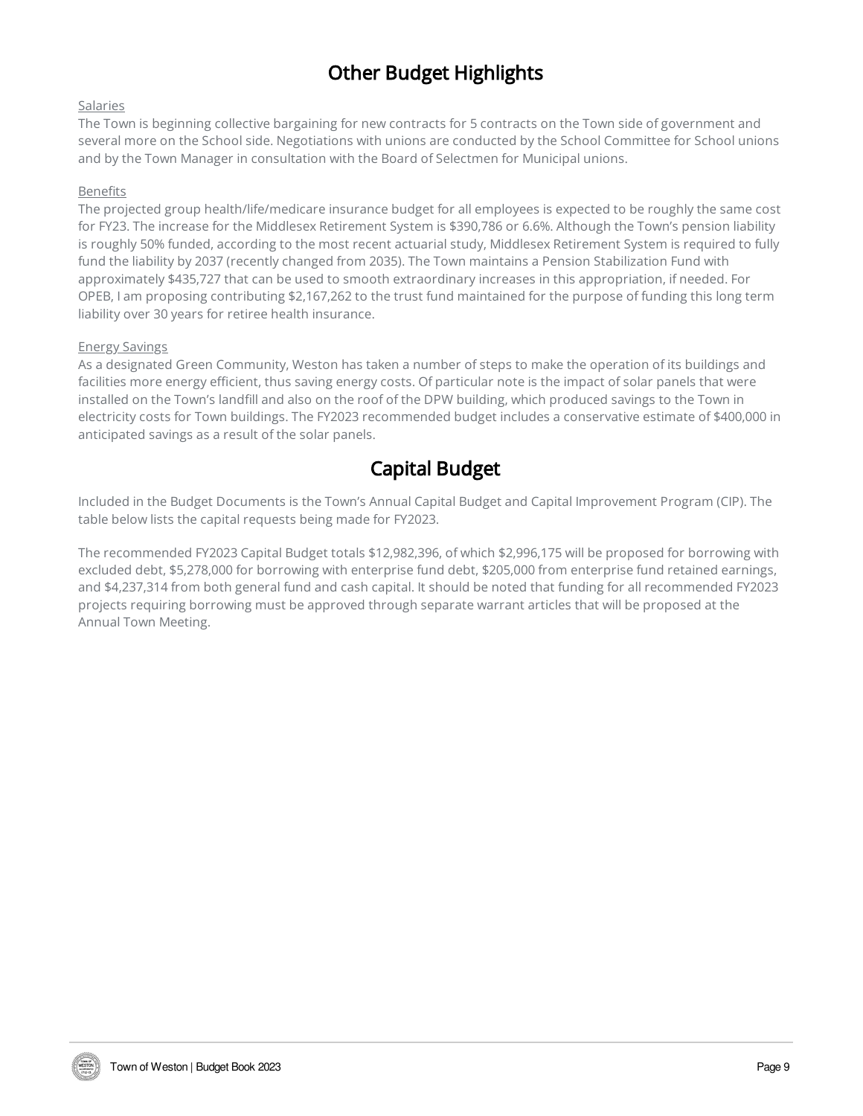# Other Budget Highlights

#### Salaries

The Town is beginning collective bargaining for new contracts for 5 contracts on the Town side of government and several more on the School side. Negotiations with unions are conducted by the School Committee for School unions and by the Town Manager in consultation with the Board of Selectmen for Municipal unions.

#### Benefits

The projected group health/life/medicare insurance budget for all employees is expected to be roughly the same cost for FY23. The increase for the Middlesex Retirement System is \$390,786 or 6.6%. Although the Town's pension liability is roughly 50% funded, according to the most recent actuarial study, Middlesex Retirement System is required to fully fund the liability by 2037 (recently changed from 2035). The Town maintains a Pension Stabilization Fund with approximately \$435,727 that can be used to smooth extraordinary increases in this appropriation, if needed. For OPEB, I am proposing contributing \$2,167,262 to the trust fund maintained for the purpose of funding this long term liability over 30 years for retiree health insurance.

#### Energy Savings

As a designated Green Community, Weston has taken a number of steps to make the operation of its buildings and facilities more energy efficient, thus saving energy costs. Of particular note is the impact of solar panels that were installed on the Town's landfill and also on the roof of the DPW building, which produced savings to the Town in electricity costs for Town buildings. The FY2023 recommended budget includes a conservative estimate of \$400,000 in anticipated savings as a result of the solar panels.

## Capital Budget

Included in the Budget Documents is the Town's Annual Capital Budget and Capital Improvement Program (CIP). The table below lists the capital requests being made for FY2023.

The recommended FY2023 Capital Budget totals \$12,982,396, of which \$2,996,175 will be proposed for borrowing with excluded debt, \$5,278,000 for borrowing with enterprise fund debt, \$205,000 from enterprise fund retained earnings, and \$4,237,314 from both general fund and cash capital. It should be noted that funding for all recommended FY2023 projects requiring borrowing must be approved through separate warrant articles that will be proposed at the Annual Town Meeting.

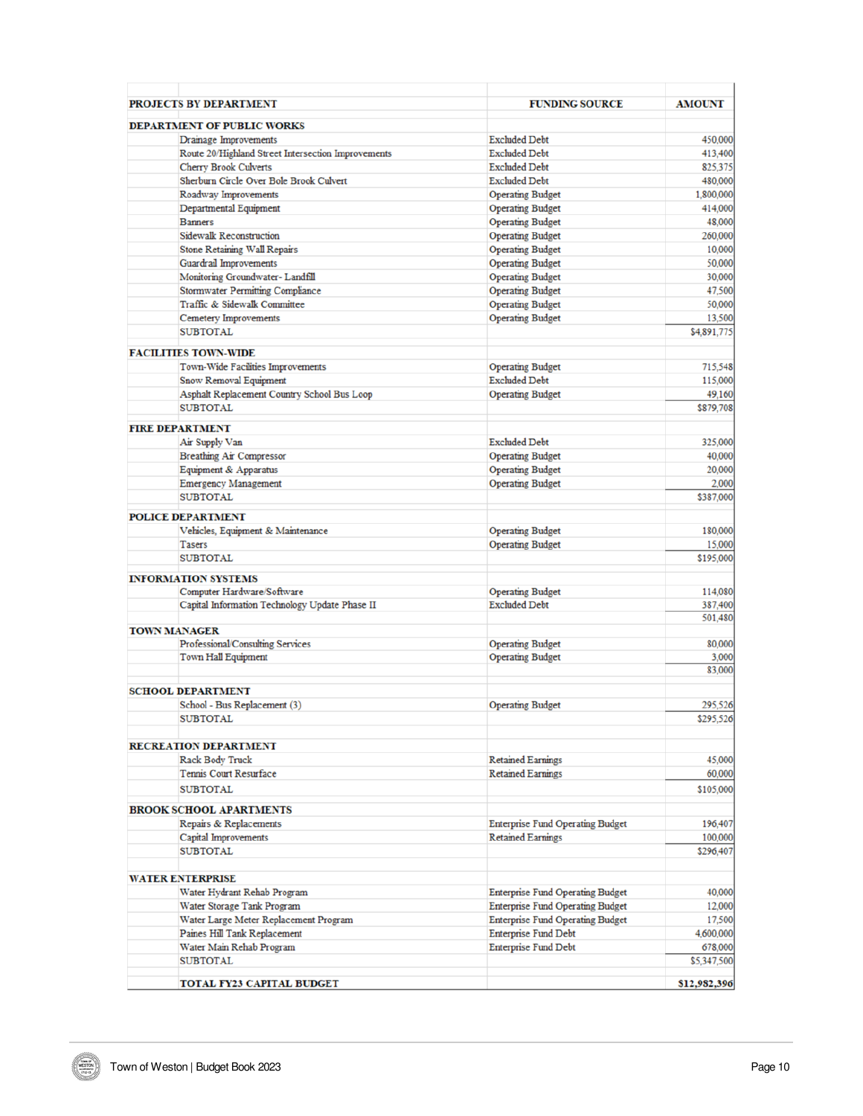| <b>PROJECTS BY DEPARTMENT</b>                          | <b>FUNDING SOURCE</b>                   | <b>AMOUNT</b> |
|--------------------------------------------------------|-----------------------------------------|---------------|
| <b>DEPARTMENT OF PUBLIC WORKS</b>                      |                                         |               |
| Drainage Improvements                                  | <b>Excluded Debt</b>                    | 450,000       |
| Route 20/Highland Street Intersection Improvements     | <b>Excluded Debt</b>                    | 413,400       |
| <b>Cherry Brook Culverts</b>                           | <b>Excluded Debt</b>                    | 825,375       |
| Sherburn Circle Over Bole Brook Culvert                | <b>Excluded Debt</b>                    | 480,000       |
| Roadway Improvements                                   | <b>Operating Budget</b>                 | 1,800,000     |
| Departmental Equipment                                 | <b>Operating Budget</b>                 | 414,000       |
| <b>Banners</b>                                         | <b>Operating Budget</b>                 | 48,000        |
| <b>Sidewalk Reconstruction</b>                         | <b>Operating Budget</b>                 | 260,000       |
| Stone Retaining Wall Repairs                           | <b>Operating Budget</b>                 | 10,000        |
| Guardrail Improvements                                 | <b>Operating Budget</b>                 | 50,000        |
| Monitoring Groundwater- Landfill                       | <b>Operating Budget</b>                 | 30,000        |
| <b>Stormwater Permitting Compliance</b>                | <b>Operating Budget</b>                 | 47,500        |
| Traffic & Sidewalk Committee                           | <b>Operating Budget</b>                 | 50,000        |
| Cemetery Improvements                                  | <b>Operating Budget</b>                 | 13,500        |
| <b>SUBTOTAL</b>                                        |                                         | \$4,891,775   |
| <b>FACILITIES TOWN-WIDE</b>                            |                                         |               |
| Town-Wide Facilities Improvements                      | <b>Operating Budget</b>                 | 715,548       |
| Snow Removal Equipment                                 | <b>Excluded Debt</b>                    | 115,000       |
| Asphalt Replacement Country School Bus Loop            | <b>Operating Budget</b>                 | 49,160        |
| <b>SUBTOTAL</b>                                        |                                         | \$879,708     |
| <b>FIRE DEPARTMENT</b>                                 |                                         |               |
| Air Supply Van                                         | <b>Excluded Debt</b>                    | 325,000       |
| Breathing Air Compressor                               | <b>Operating Budget</b>                 | 40,000        |
| Equipment & Apparatus                                  | <b>Operating Budget</b>                 | 20,000        |
| <b>Emergency Management</b>                            | <b>Operating Budget</b>                 | 2,000         |
| <b>SUBTOTAL</b>                                        |                                         | \$387,000     |
| <b>POLICE DEPARTMENT</b>                               |                                         |               |
| Vehicles, Equipment & Maintenance                      | <b>Operating Budget</b>                 | 180,000       |
| <b>Tasers</b>                                          | <b>Operating Budget</b>                 | 15,000        |
| <b>SUBTOTAL</b>                                        |                                         | \$195,000     |
| <b>INFORMATION SYSTEMS</b>                             |                                         |               |
| Computer Hardware/Software                             | <b>Operating Budget</b>                 | 114,080       |
| Capital Information Technology Update Phase II         | <b>Excluded Debt</b>                    | 387,400       |
| <b>TOWN MANAGER</b>                                    |                                         | 501,480       |
| Professional/Consulting Services                       | <b>Operating Budget</b>                 | 80,000        |
| Town Hall Equipment                                    | <b>Operating Budget</b>                 | 3,000         |
|                                                        |                                         | 83,000        |
| <b>SCHOOL DEPARTMENT</b>                               |                                         |               |
| School - Bus Replacement (3)                           | <b>Operating Budget</b>                 | 295,526       |
| <b>SUBTOTAL</b>                                        |                                         | \$295,526     |
|                                                        |                                         |               |
| <b>RECREATION DEPARTMENT</b><br><b>Rack Body Truck</b> | <b>Retained Earnings</b>                | 45,000        |
| Tennis Court Resurface                                 | <b>Retained Earnings</b>                | 60,000        |
| <b>SUBTOTAL</b>                                        |                                         | \$105,000     |
|                                                        |                                         |               |
| <b>BROOK SCHOOL APARTMENTS</b>                         |                                         |               |
| Repairs & Replacements                                 | <b>Enterprise Fund Operating Budget</b> | 196,407       |
| Capital Improvements                                   | <b>Retained Earnings</b>                | 100,000       |
| <b>SUBTOTAL</b>                                        |                                         | \$296,407     |
| <b>WATER ENTERPRISE</b>                                |                                         |               |
| Water Hydrant Rehab Program                            | <b>Enterprise Fund Operating Budget</b> | 40,000        |
| Water Storage Tank Program                             | <b>Enterprise Fund Operating Budget</b> | 12,000        |
| Water Large Meter Replacement Program                  | <b>Enterprise Fund Operating Budget</b> | 17,500        |
| Paines Hill Tank Replacement                           | <b>Enterprise Fund Debt</b>             | 4,600,000     |
| Water Main Rehab Program                               | <b>Enterprise Fund Debt</b>             | 678,000       |
| <b>SUBTOTAL</b>                                        |                                         | \$5,347,500   |
|                                                        |                                         |               |
| <b>TOTAL FY23 CAPITAL BUDGET</b>                       |                                         | \$12,982,396  |

WESTON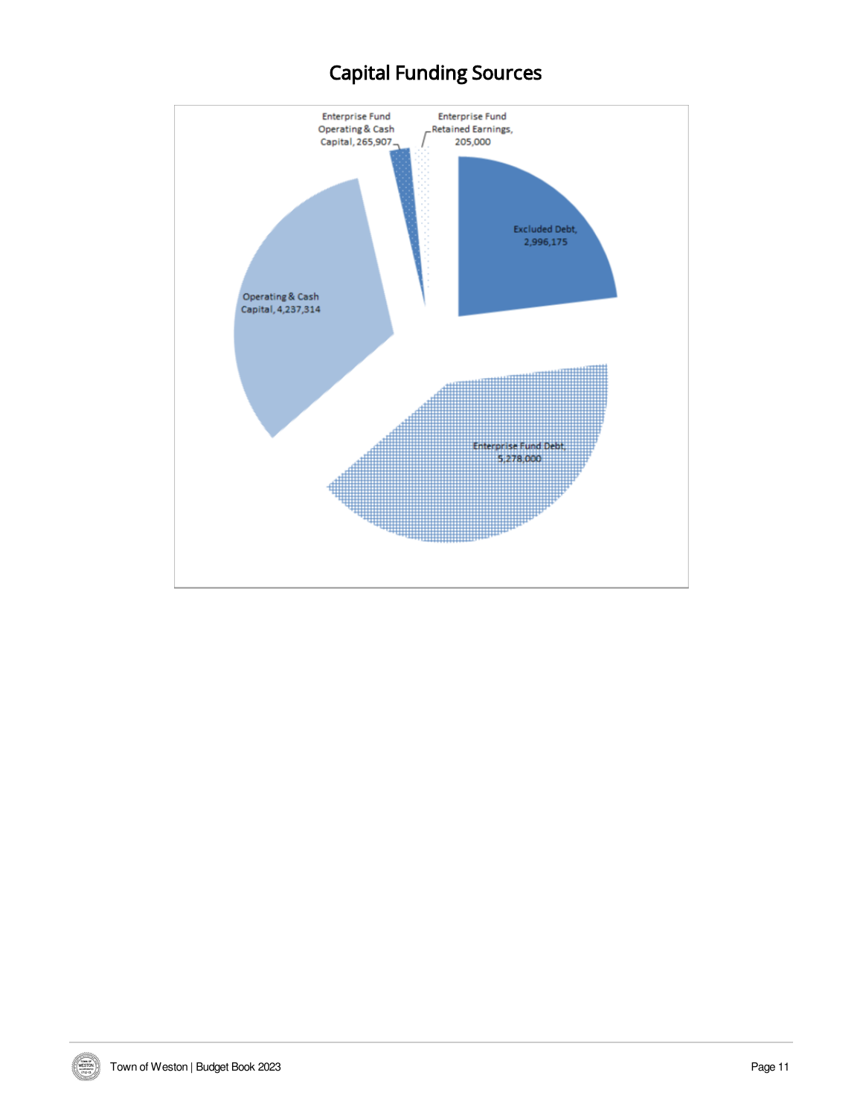# Capital Funding Sources



WESTON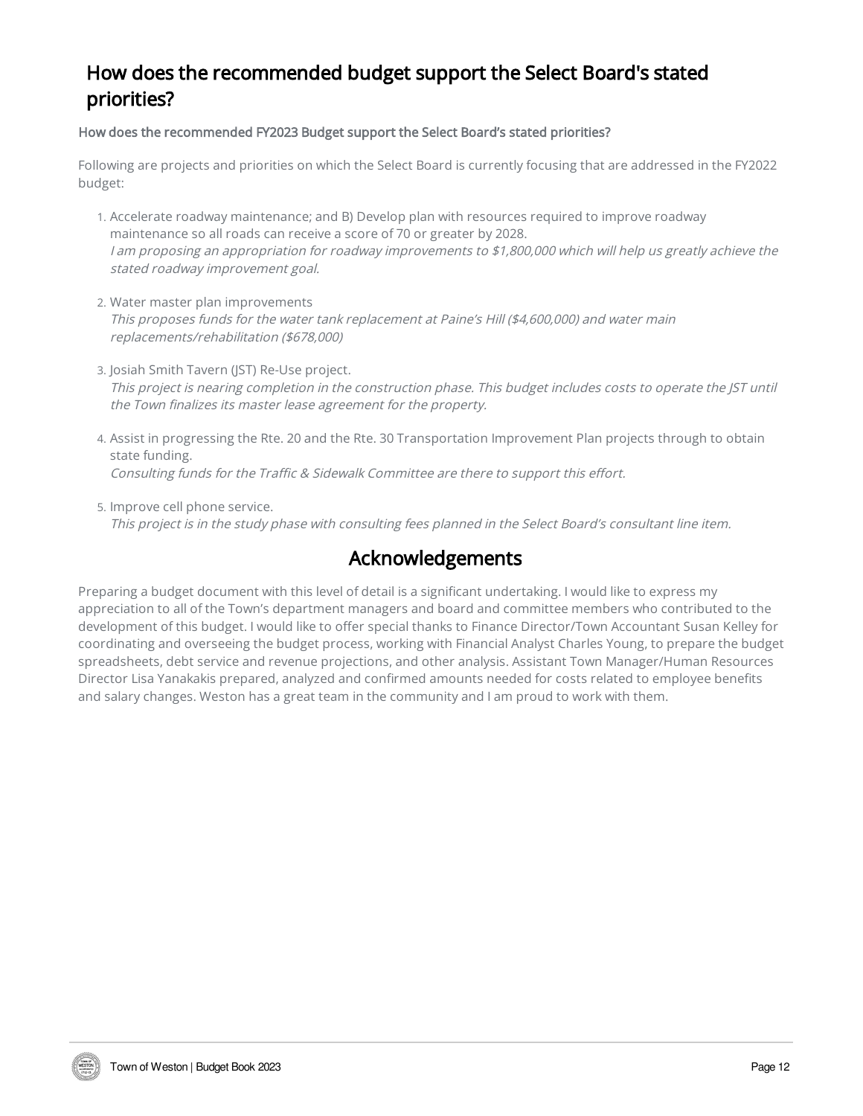# How does the recommended budget support the Select Board's stated priorities?

How does the recommended FY2023 Budget support the Select Board's stated priorities?

Following are projects and priorities on which the Select Board is currently focusing that are addressed in the FY2022 budget:

- 1. Accelerate roadway maintenance; and B) Develop plan with resources required to improve roadway maintenance so all roads can receive a score of 70 or greater by 2028. I am proposing an appropriation for roadway improvements to \$1,800,000 which will help us greatly achieve the stated roadway improvement goal.
- 2. Water master plan improvements This proposes funds for the water tank replacement at Paine's Hill (\$4,600,000) and water main replacements/rehabilitation (\$678,000)
- 3. Josiah Smith Tavern (JST) Re-Use project. This project is nearing completion in the construction phase. This budget includes costs to operate the JST until the Town finalizes its master lease agreement for the property.
- 4. Assist in progressing the Rte. 20 and the Rte. 30 Transportation Improvement Plan projects through to obtain state funding. Consulting funds for the Traffic & Sidewalk Committee are there to support this effort.
- 5. Improve cell phone service. This project is in the study phase with consulting fees planned in the Select Board's consultant line item.

## Acknowledgements

Preparing a budget document with this level of detail is a significant undertaking. I would like to express my appreciation to all of the Town's department managers and board and committee members who contributed to the development of this budget. I would like to offer special thanks to Finance Director/Town Accountant Susan Kelley for coordinating and overseeing the budget process, working with Financial Analyst Charles Young, to prepare the budget spreadsheets, debt service and revenue projections, and other analysis. Assistant Town Manager/Human Resources Director Lisa Yanakakis prepared, analyzed and confirmed amounts needed for costs related to employee benefits and salary changes. Weston has a great team in the community and I am proud to work with them.